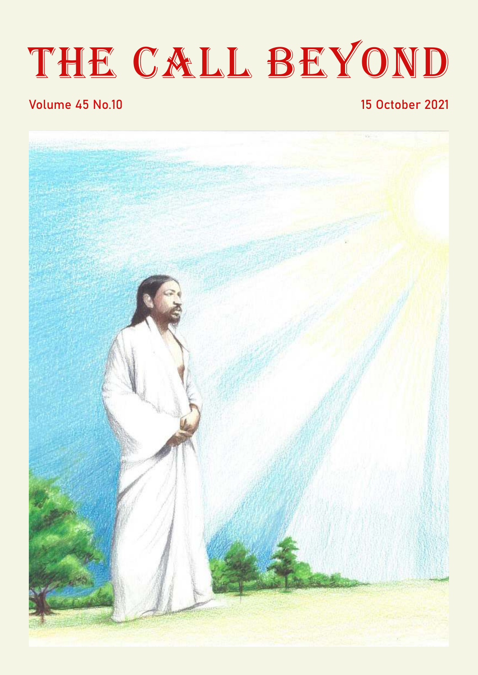# THE CALL BEYOND

#### Volume 45 No.10 15 October 2021

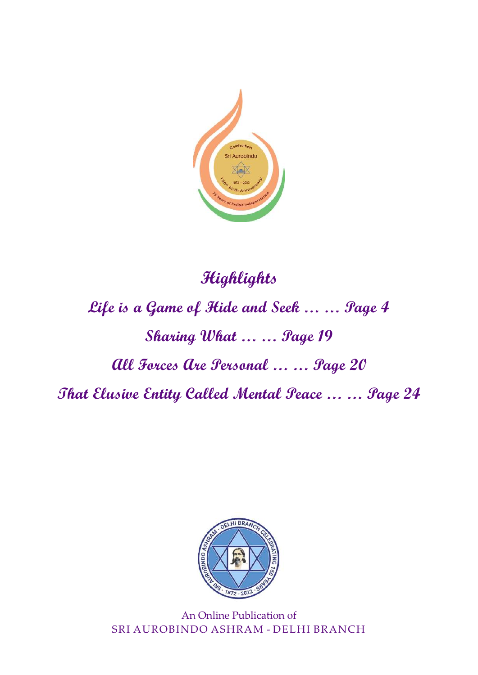

# **Highlights Life is a Game of Hide and Seek … … Page 4 Sharing What … … Page 19 All Forces Are Personal … … Page 20 That Elusive Entity Called Mental Peace … … Page 24**



An Online Publication of SRI AUROBINDO ASHRAM - DELHI BRANCH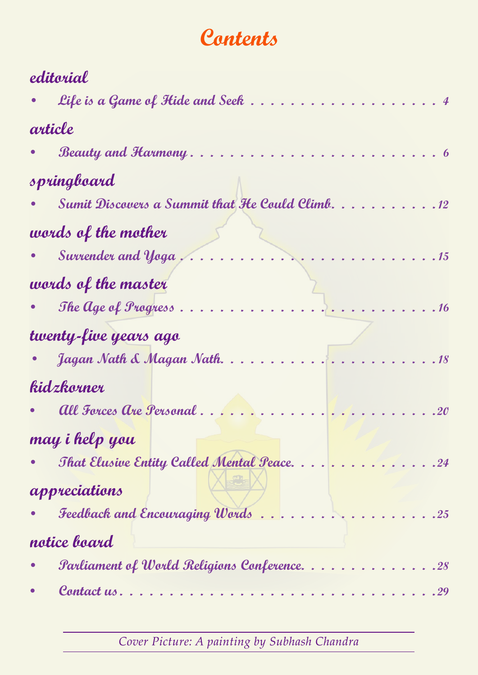# Contents

| editorial             |                                                          |
|-----------------------|----------------------------------------------------------|
|                       | Life is a Game of Hide and Seek                          |
|                       | article                                                  |
|                       | Beauty and Harmony                                       |
|                       | springboard                                              |
|                       | <b>Sumit Discovers a Summit that He Could Climb.</b> 12  |
|                       | words of the mother                                      |
|                       | Survender and $y_{0}$ ga $\ldots$ .<br>.15               |
|                       | words of the master                                      |
|                       | The $\log e$ of <i>Progress</i> $\ldots$ .<br>.16        |
| twenty-five years ago |                                                          |
|                       | Jagan Nath & Magan Nath.<br>18                           |
|                       | kidzkorner                                               |
|                       | All Forces Are Personal                                  |
|                       | may i help you                                           |
|                       | That Elusive Entity Called Mental Peace24                |
|                       | appreciations                                            |
|                       | Feedback and Encouraging Words25                         |
| notice board          |                                                          |
|                       | <b><i>Parliament of World Religions Conference28</i></b> |
|                       |                                                          |

Cover Picture: A painting by Subhash Chandra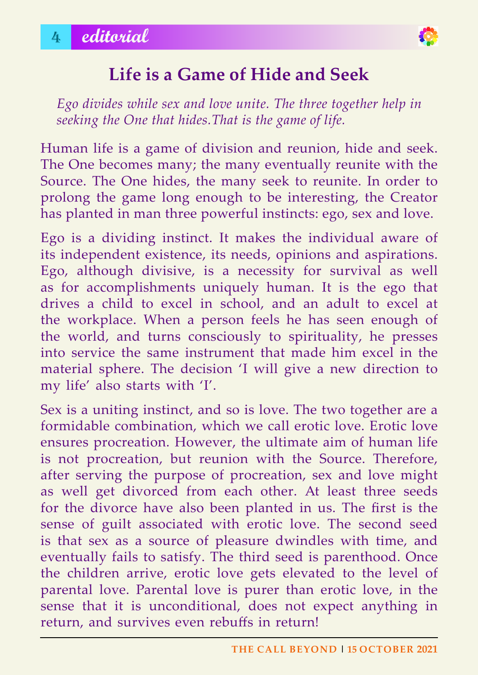

# **life is a Game of hide and Seek**

*Ego divides while sex and love unite. The three together help in seeking the One that hides.That is the game of life.*

Human life is a game of division and reunion, hide and seek. The One becomes many; the many eventually reunite with the Source. The One hides, the many seek to reunite. In order to prolong the game long enough to be interesting, the Creator has planted in man three powerful instincts: ego, sex and love.

Ego is a dividing instinct. It makes the individual aware of its independent existence, its needs, opinions and aspirations. Ego, although divisive, is a necessity for survival as well as for accomplishments uniquely human. It is the ego that drives a child to excel in school, and an adult to excel at the workplace. When a person feels he has seen enough of the world, and turns consciously to spirituality, he presses into service the same instrument that made him excel in the material sphere. The decision 'I will give a new direction to my life' also starts with 'I'.

Sex is a uniting instinct, and so is love. The two together are a formidable combination, which we call erotic love. Erotic love ensures procreation. However, the ultimate aim of human life is not procreation, but reunion with the Source. Therefore, after serving the purpose of procreation, sex and love might as well get divorced from each other. At least three seeds for the divorce have also been planted in us. The first is the sense of guilt associated with erotic love. The second seed is that sex as a source of pleasure dwindles with time, and eventually fails to satisfy. The third seed is parenthood. Once the children arrive, erotic love gets elevated to the level of parental love. Parental love is purer than erotic love, in the sense that it is unconditional, does not expect anything in return, and survives even rebuffs in return!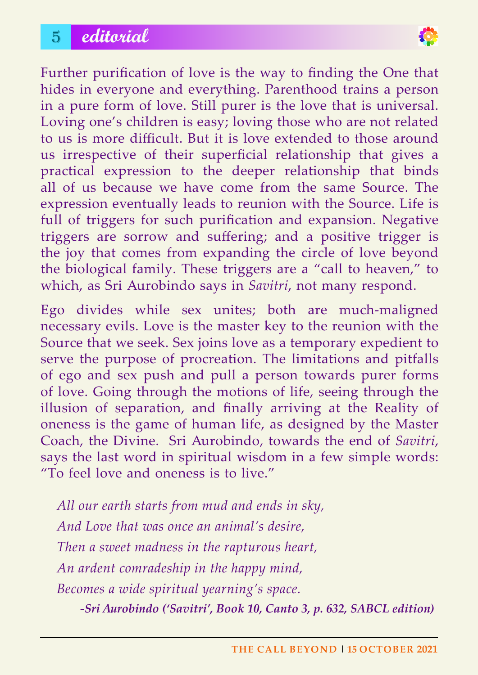# 5 **editorial**



Further purification of love is the way to finding the One that hides in everyone and everything. Parenthood trains a person in a pure form of love. Still purer is the love that is universal. Loving one's children is easy; loving those who are not related to us is more difficult. But it is love extended to those around us irrespective of their superficial relationship that gives a practical expression to the deeper relationship that binds all of us because we have come from the same Source. The expression eventually leads to reunion with the Source. Life is full of triggers for such purification and expansion. Negative triggers are sorrow and suffering; and a positive trigger is the joy that comes from expanding the circle of love beyond the biological family. These triggers are a "call to heaven," to which, as Sri Aurobindo says in *Savitri*, not many respond.

Ego divides while sex unites; both are much-maligned necessary evils. Love is the master key to the reunion with the Source that we seek. Sex joins love as a temporary expedient to serve the purpose of procreation. The limitations and pitfalls of ego and sex push and pull a person towards purer forms of love. Going through the motions of life, seeing through the illusion of separation, and finally arriving at the Reality of oneness is the game of human life, as designed by the Master Coach, the Divine. Sri Aurobindo, towards the end of *Savitri*, says the last word in spiritual wisdom in a few simple words: "To feel love and oneness is to live."

*All our earth starts from mud and ends in sky, And Love that was once an animal's desire, Then a sweet madness in the rapturous heart, An ardent comradeship in the happy mind, Becomes a wide spiritual yearning's space.*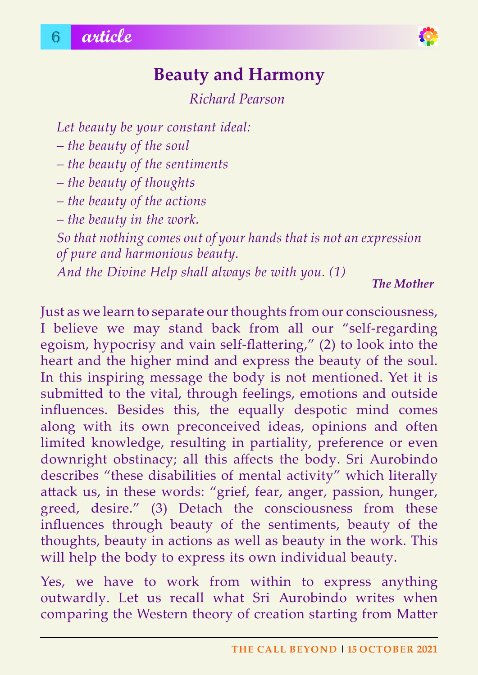

# **Beauty and harmony**

*Richard Pearson*

*Let beauty be your constant ideal:* 

*– the beauty of the soul*

*– the beauty of the sentiments*

*– the beauty of thoughts*

*– the beauty of the actions*

*– the beauty in the work.*

*So that nothing comes out of your hands that is not an expression of pure and harmonious beauty.*

*And the Divine Help shall always be with you. (1)*

*The Mother*

Just as we learn to separate our thoughts from our consciousness, I believe we may stand back from all our "self-regarding egoism, hypocrisy and vain self-flattering," (2) to look into the heart and the higher mind and express the beauty of the soul. In this inspiring message the body is not mentioned. Yet it is submitted to the vital, through feelings, emotions and outside influences. Besides this, the equally despotic mind comes along with its own preconceived ideas, opinions and often limited knowledge, resulting in partiality, preference or even downright obstinacy; all this affects the body. Sri Aurobindo describes "these disabilities of mental activity" which literally attack us, in these words: "grief, fear, anger, passion, hunger, greed, desire." (3) Detach the consciousness from these influences through beauty of the sentiments, beauty of the thoughts, beauty in actions as well as beauty in the work. This will help the body to express its own individual beauty.

Yes, we have to work from within to express anything outwardly. Let us recall what Sri Aurobindo writes when comparing the Western theory of creation starting from Matter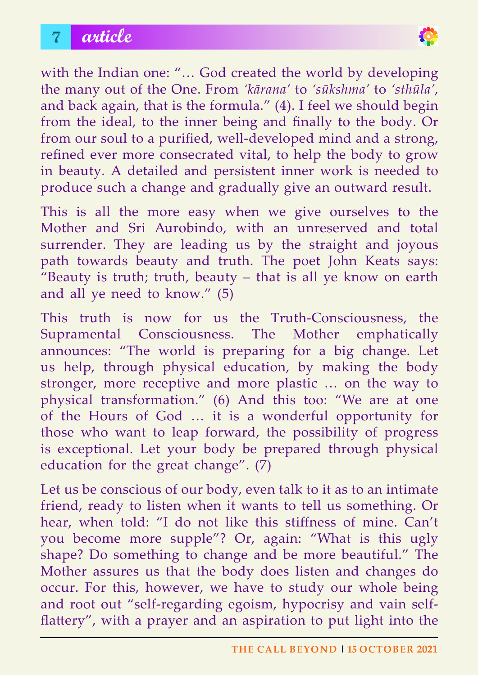# 7 **article**



with the Indian one: "… God created the world by developing the many out of the One. From *'kārana'* to *'sūkshma'* to *'sthūla'*, and back again, that is the formula." (4). I feel we should begin from the ideal, to the inner being and finally to the body. Or from our soul to a purified, well-developed mind and a strong, refined ever more consecrated vital, to help the body to grow in beauty. A detailed and persistent inner work is needed to produce such a change and gradually give an outward result.

This is all the more easy when we give ourselves to the Mother and Sri Aurobindo, with an unreserved and total surrender. They are leading us by the straight and joyous path towards beauty and truth. The poet John Keats says: "Beauty is truth; truth, beauty – that is all ye know on earth and all ye need to know." (5)

This truth is now for us the Truth-Consciousness, the Supramental Consciousness. The Mother emphatically announces: "The world is preparing for a big change. Let us help, through physical education, by making the body stronger, more receptive and more plastic … on the way to physical transformation." (6) And this too: "We are at one of the Hours of God … it is a wonderful opportunity for those who want to leap forward, the possibility of progress is exceptional. Let your body be prepared through physical education for the great change". (7)

Let us be conscious of our body, even talk to it as to an intimate friend, ready to listen when it wants to tell us something. Or hear, when told: "I do not like this stiffness of mine. Can't you become more supple"? Or, again: "What is this ugly shape? Do something to change and be more beautiful." The Mother assures us that the body does listen and changes do occur. For this, however, we have to study our whole being and root out "self-regarding egoism, hypocrisy and vain selfflattery", with a prayer and an aspiration to put light into the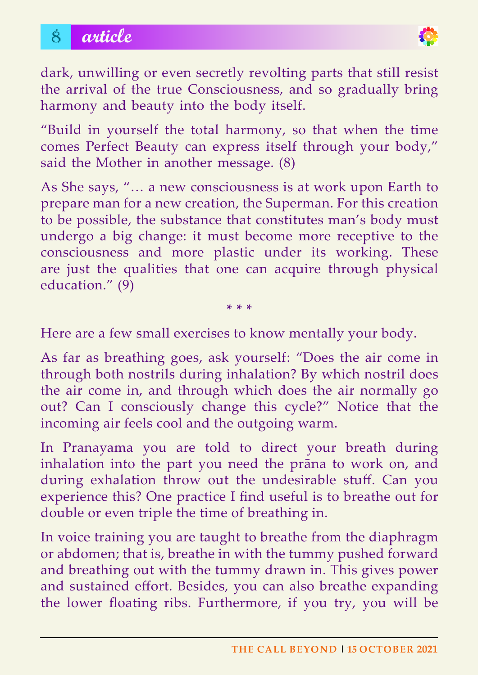

dark, unwilling or even secretly revolting parts that still resist the arrival of the true Consciousness, and so gradually bring harmony and beauty into the body itself.

"Build in yourself the total harmony, so that when the time comes Perfect Beauty can express itself through your body," said the Mother in another message. (8)

As She says, "… a new consciousness is at work upon Earth to prepare man for a new creation, the Superman. For this creation to be possible, the substance that constitutes man's body must undergo a big change: it must become more receptive to the consciousness and more plastic under its working. These are just the qualities that one can acquire through physical education." (9)

\* \* \*

Here are a few small exercises to know mentally your body.

As far as breathing goes, ask yourself: "Does the air come in through both nostrils during inhalation? By which nostril does the air come in, and through which does the air normally go out? Can I consciously change this cycle?" Notice that the incoming air feels cool and the outgoing warm.

In Pranayama you are told to direct your breath during inhalation into the part you need the prāna to work on, and during exhalation throw out the undesirable stuff. Can you experience this? One practice I find useful is to breathe out for double or even triple the time of breathing in.

In voice training you are taught to breathe from the diaphragm or abdomen; that is, breathe in with the tummy pushed forward and breathing out with the tummy drawn in. This gives power and sustained effort. Besides, you can also breathe expanding the lower floating ribs. Furthermore, if you try, you will be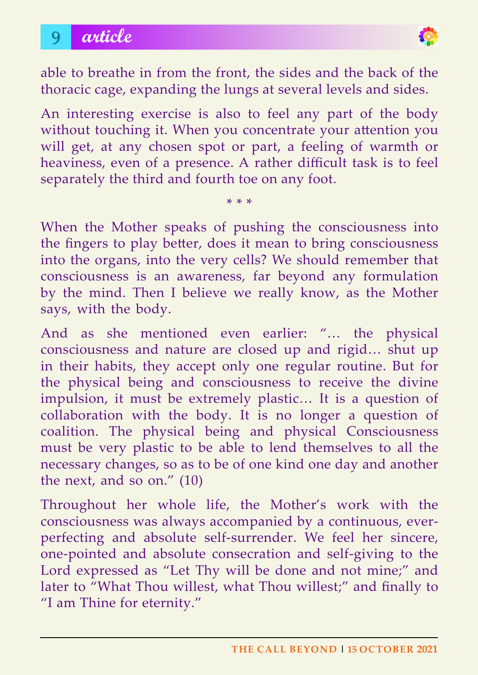

able to breathe in from the front, the sides and the back of the thoracic cage, expanding the lungs at several levels and sides.

An interesting exercise is also to feel any part of the body without touching it. When you concentrate your attention you will get, at any chosen spot or part, a feeling of warmth or heaviness, even of a presence. A rather difficult task is to feel separately the third and fourth toe on any foot.

\* \* \*

When the Mother speaks of pushing the consciousness into the fingers to play better, does it mean to bring consciousness into the organs, into the very cells? We should remember that consciousness is an awareness, far beyond any formulation by the mind. Then I believe we really know, as the Mother says, with the body.

And as she mentioned even earlier: "… the physical consciousness and nature are closed up and rigid… shut up in their habits, they accept only one regular routine. But for the physical being and consciousness to receive the divine impulsion, it must be extremely plastic… It is a question of collaboration with the body. It is no longer a question of coalition. The physical being and physical Consciousness must be very plastic to be able to lend themselves to all the necessary changes, so as to be of one kind one day and another the next, and so on." (10)

Throughout her whole life, the Mother's work with the consciousness was always accompanied by a continuous, everperfecting and absolute self-surrender. We feel her sincere, one-pointed and absolute consecration and self-giving to the Lord expressed as "Let Thy will be done and not mine;" and later to "What Thou willest, what Thou willest;" and finally to "I am Thine for eternity."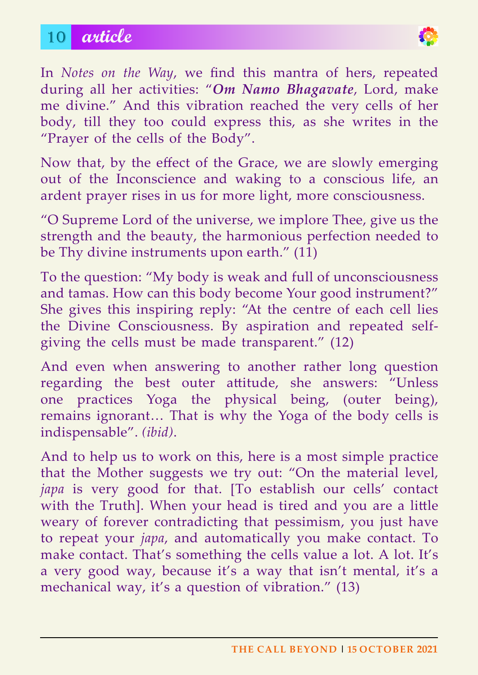# 10 **article**



In *Notes on the Way*, we find this mantra of hers, repeated during all her activities: "*Om Namo Bhagavate*, Lord, make me divine." And this vibration reached the very cells of her body, till they too could express this, as she writes in the "Prayer of the cells of the Body".

Now that, by the effect of the Grace, we are slowly emerging out of the Inconscience and waking to a conscious life, an ardent prayer rises in us for more light, more consciousness.

"O Supreme Lord of the universe, we implore Thee, give us the strength and the beauty, the harmonious perfection needed to be Thy divine instruments upon earth." (11)

To the question: "My body is weak and full of unconsciousness and tamas. How can this body become Your good instrument?" She gives this inspiring reply: "At the centre of each cell lies the Divine Consciousness. By aspiration and repeated selfgiving the cells must be made transparent." (12)

And even when answering to another rather long question regarding the best outer attitude, she answers: "Unless one practices Yoga the physical being, (outer being), remains ignorant… That is why the Yoga of the body cells is indispensable". *(ibid)*.

And to help us to work on this, here is a most simple practice that the Mother suggests we try out: "On the material level, *japa* is very good for that. [To establish our cells' contact with the Truth]. When your head is tired and you are a little weary of forever contradicting that pessimism, you just have to repeat your *japa*, and automatically you make contact. To make contact. That's something the cells value a lot. A lot. It's a very good way, because it's a way that isn't mental, it's a mechanical way, it's a question of vibration." (13)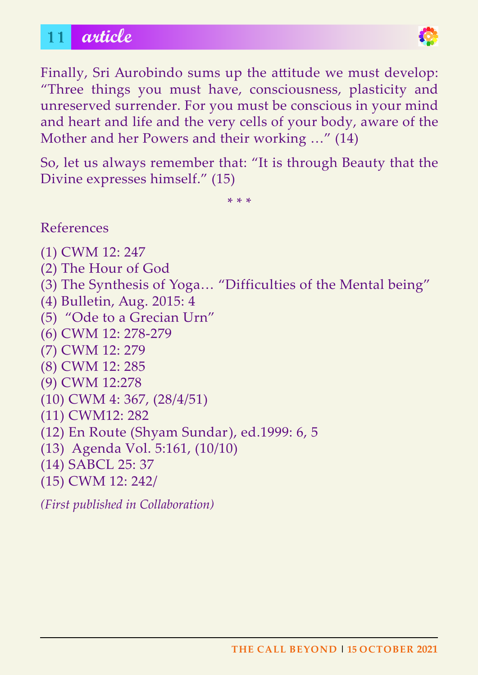# 11 **article**



Finally, Sri Aurobindo sums up the attitude we must develop: "Three things you must have, consciousness, plasticity and unreserved surrender. For you must be conscious in your mind and heart and life and the very cells of your body, aware of the Mother and her Powers and their working …" (14)

So, let us always remember that: "It is through Beauty that the Divine expresses himself." (15)

\* \* \*

References

- (1) CWM 12: 247
- (2) The Hour of God
- (3) The Synthesis of Yoga… "Difficulties of the Mental being"
- (4) Bulletin, Aug. 2015: 4
- (5) "Ode to a Grecian Urn"
- (6) CWM 12: 278-279
- (7) CWM 12: 279
- (8) CWM 12: 285
- (9) CWM 12:278
- (10) CWM 4: 367, (28/4/51)
- (11) CWM12: 282
- (12) En Route (Shyam Sundar), ed.1999: 6, 5
- (13) Agenda Vol. 5:161, (10/10)
- (14) SABCL 25: 37
- (15) CWM 12: 242/

*(First published in Collaboration)*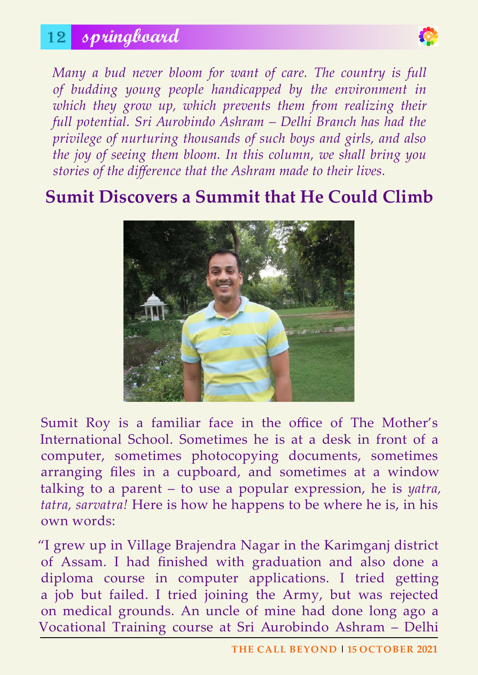# 12 **springboard**



*Many a bud never bloom for want of care. The country is full of budding young people handicapped by the environment in*  which they grow up, which prevents them from realizing their *full potential. Sri Aurobindo Ashram – Delhi Branch has had the privilege of nurturing thousands of such boys and girls, and also the joy of seeing them bloom. In this column, we shall bring you stories of the difference that the Ashram made to their lives.* 

# **Sumit Discovers a Summit that He Could Climb**



Sumit Roy is a familiar face in the office of The Mother's International School. Sometimes he is at a desk in front of a computer, sometimes photocopying documents, sometimes arranging files in a cupboard, and sometimes at a window talking to a parent – to use a popular expression, he is *yatra, tatra, sarvatra!* Here is how he happens to be where he is, in his own words:

"I grew up in Village Brajendra Nagar in the Karimganj district of Assam. I had finished with graduation and also done a diploma course in computer applications. I tried getting a job but failed. I tried joining the Army, but was rejected on medical grounds. An uncle of mine had done long ago a Vocational Training course at Sri Aurobindo Ashram – Delhi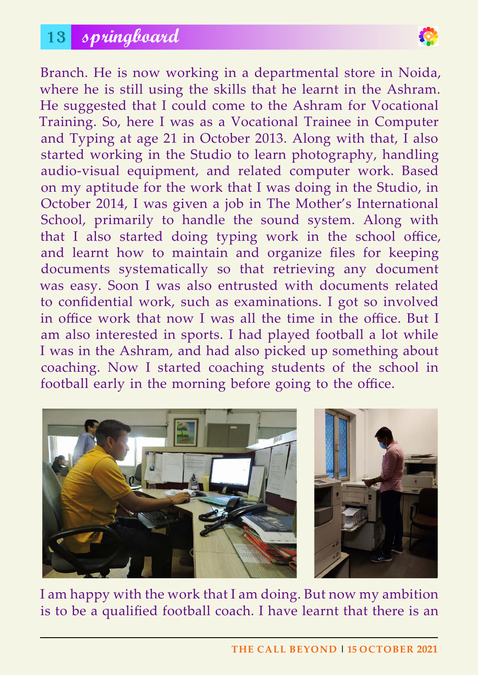# 13 **springboard**



Branch. He is now working in a departmental store in Noida, where he is still using the skills that he learnt in the Ashram. He suggested that I could come to the Ashram for Vocational Training. So, here I was as a Vocational Trainee in Computer and Typing at age 21 in October 2013. Along with that, I also started working in the Studio to learn photography, handling audio-visual equipment, and related computer work. Based on my aptitude for the work that I was doing in the Studio, in October 2014, I was given a job in The Mother's International School, primarily to handle the sound system. Along with that I also started doing typing work in the school office, and learnt how to maintain and organize files for keeping documents systematically so that retrieving any document was easy. Soon I was also entrusted with documents related to confidential work, such as examinations. I got so involved in office work that now I was all the time in the office. But I am also interested in sports. I had played football a lot while I was in the Ashram, and had also picked up something about coaching. Now I started coaching students of the school in football early in the morning before going to the office.





I am happy with the work that I am doing. But now my ambition is to be a qualified football coach. I have learnt that there is an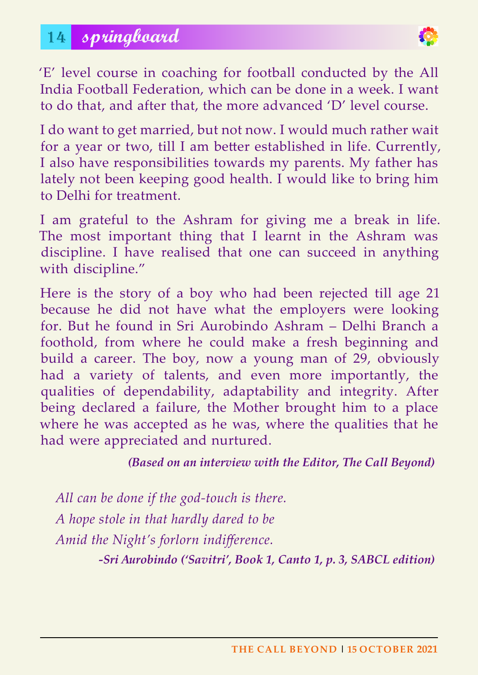

'E' level course in coaching for football conducted by the All India Football Federation, which can be done in a week. I want to do that, and after that, the more advanced 'D' level course.

I do want to get married, but not now. I would much rather wait for a year or two, till I am better established in life. Currently, I also have responsibilities towards my parents. My father has lately not been keeping good health. I would like to bring him to Delhi for treatment.

I am grateful to the Ashram for giving me a break in life. The most important thing that I learnt in the Ashram was discipline. I have realised that one can succeed in anything with discipline."

Here is the story of a boy who had been rejected till age 21 because he did not have what the employers were looking for. But he found in Sri Aurobindo Ashram – Delhi Branch a foothold, from where he could make a fresh beginning and build a career. The boy, now a young man of 29, obviously had a variety of talents, and even more importantly, the qualities of dependability, adaptability and integrity. After being declared a failure, the Mother brought him to a place where he was accepted as he was, where the qualities that he had were appreciated and nurtured.

*(Based on an interview with the Editor, The Call Beyond)*

*All can be done if the god-touch is there. A hope stole in that hardly dared to be Amid the Night's forlorn indifference.*

*-Sri Aurobindo ('Savitri', Book 1, Canto 1, p. 3, SABCL edition)*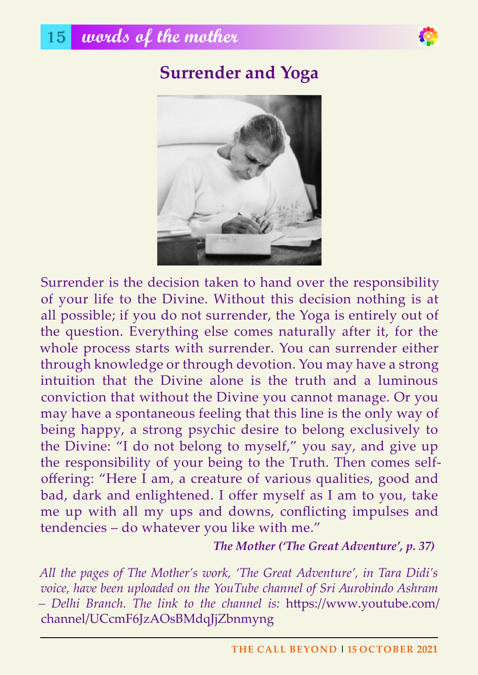

# **Surrender and yoga**



Surrender is the decision taken to hand over the responsibility of your life to the Divine. Without this decision nothing is at all possible; if you do not surrender, the Yoga is entirely out of the question. Everything else comes naturally after it, for the whole process starts with surrender. You can surrender either through knowledge or through devotion. You may have a strong intuition that the Divine alone is the truth and a luminous conviction that without the Divine you cannot manage. Or you may have a spontaneous feeling that this line is the only way of being happy, a strong psychic desire to belong exclusively to the Divine: "I do not belong to myself," you say, and give up the responsibility of your being to the Truth. Then comes selfoffering: "Here I am, a creature of various qualities, good and bad, dark and enlightened. I offer myself as I am to you, take me up with all my ups and downs, conflicting impulses and tendencies – do whatever you like with me."

#### *The Mother ('The Great Adventure', p. 37)*

*All the pages of The Mother's work, 'The Great Adventure', in Tara Didi's voice, have been uploaded on the YouTube channel of Sri Aurobindo Ashram – Delhi Branch. The link to the channel is:* https://www.youtube.com/ channel/UCcmF6JzAOsBMdqJjZbnmyng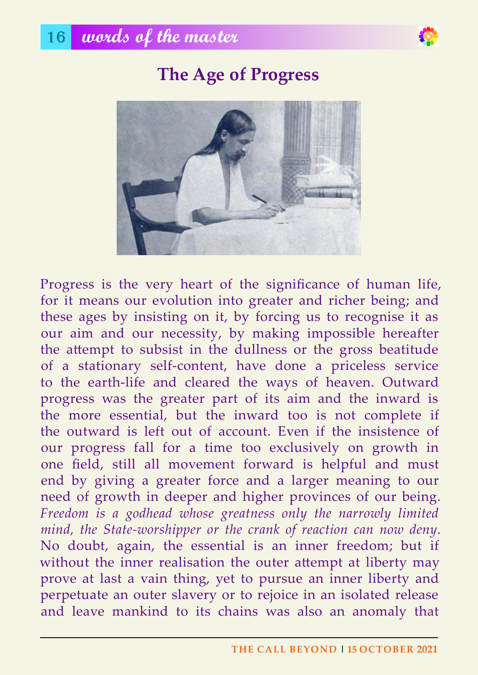



Progress is the very heart of the significance of human life, for it means our evolution into greater and richer being; and these ages by insisting on it, by forcing us to recognise it as our aim and our necessity, by making impossible hereafter the attempt to subsist in the dullness or the gross beatitude of a stationary self-content, have done a priceless service to the earth-life and cleared the ways of heaven. Outward progress was the greater part of its aim and the inward is the more essential, but the inward too is not complete if the outward is left out of account. Even if the insistence of our progress fall for a time too exclusively on growth in one field, still all movement forward is helpful and must end by giving a greater force and a larger meaning to our need of growth in deeper and higher provinces of our being. *Freedom is a godhead whose greatness only the narrowly limited mind, the State-worshipper or the crank of reaction can now deny*. No doubt, again, the essential is an inner freedom; but if without the inner realisation the outer attempt at liberty may prove at last a vain thing, yet to pursue an inner liberty and perpetuate an outer slavery or to rejoice in an isolated release and leave mankind to its chains was also an anomaly that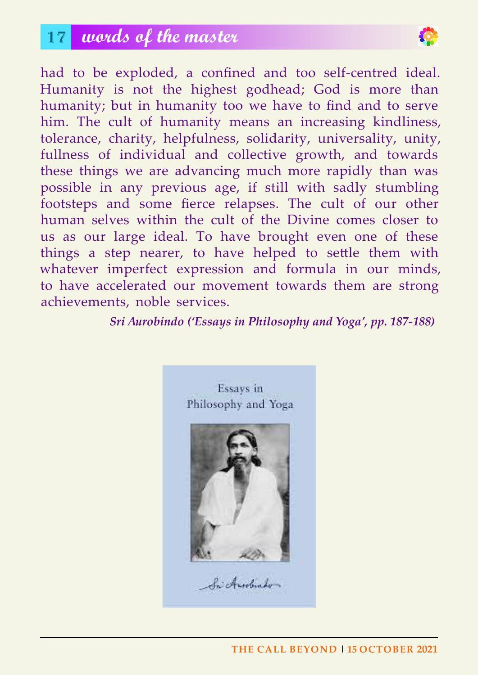# 17 **words of the master**



had to be exploded, a confined and too self-centred ideal. Humanity is not the highest godhead; God is more than humanity; but in humanity too we have to find and to serve him. The cult of humanity means an increasing kindliness, tolerance, charity, helpfulness, solidarity, universality, unity, fullness of individual and collective growth, and towards these things we are advancing much more rapidly than was possible in any previous age, if still with sadly stumbling footsteps and some fierce relapses. The cult of our other human selves within the cult of the Divine comes closer to us as our large ideal. To have brought even one of these things a step nearer, to have helped to settle them with whatever imperfect expression and formula in our minds, to have accelerated our movement towards them are strong achievements, noble services.

*Sri Aurobindo ('Essays in Philosophy and Yoga', pp. 187-188)*



**The Call Beyond | 15 oCToBeR 2021**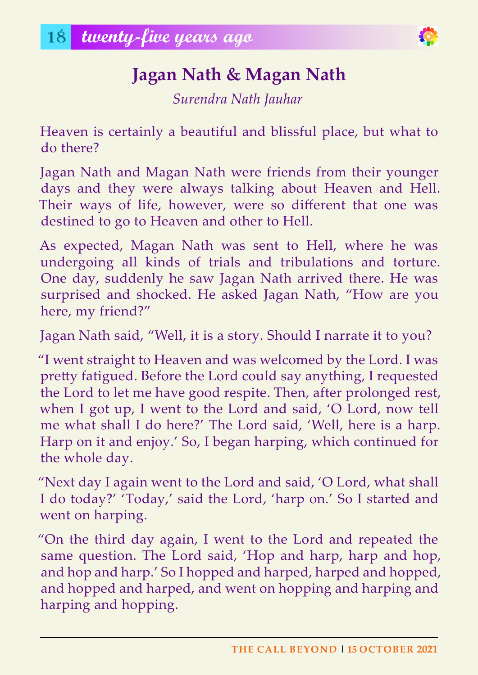

# **Jagan nath & Magan nath**

*Surendra Nath Jauhar*

Heaven is certainly a beautiful and blissful place, but what to do there?

Jagan Nath and Magan Nath were friends from their younger days and they were always talking about Heaven and Hell. Their ways of life, however, were so different that one was destined to go to Heaven and other to Hell.

As expected, Magan Nath was sent to Hell, where he was undergoing all kinds of trials and tribulations and torture. One day, suddenly he saw Jagan Nath arrived there. He was surprised and shocked. He asked Jagan Nath, "How are you here, my friend?"

Jagan Nath said, "Well, it is a story. Should I narrate it to you?

"I went straight to Heaven and was welcomed by the Lord. I was pretty fatigued. Before the Lord could say anything, I requested the Lord to let me have good respite. Then, after prolonged rest, when I got up, I went to the Lord and said, 'O Lord, now tell me what shall I do here?' The Lord said, 'Well, here is a harp. Harp on it and enjoy.' So, I began harping, which continued for the whole day.

"Next day I again went to the Lord and said, 'O Lord, what shall I do today?' 'Today,' said the Lord, 'harp on.' So I started and went on harping.

"On the third day again, I went to the Lord and repeated the same question. The Lord said, 'Hop and harp, harp and hop, and hop and harp.' So I hopped and harped, harped and hopped, and hopped and harped, and went on hopping and harping and harping and hopping.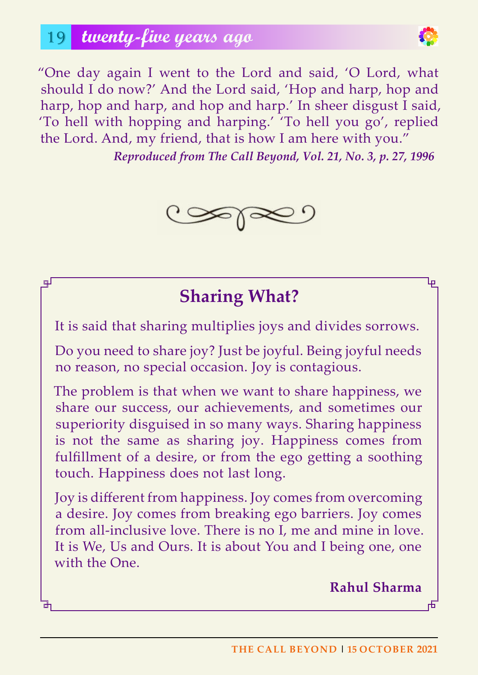$\mathbb{R}^{\mathbb{J}}$ 



"One day again I went to the Lord and said, 'O Lord, what should I do now?' And the Lord said, 'Hop and harp, hop and harp, hop and harp, and hop and harp.' In sheer disgust I said, 'To hell with hopping and harping.' 'To hell you go', replied the Lord. And, my friend, that is how I am here with you."

*Reproduced from The Call Beyond, Vol. 21, No. 3, p. 27, 1996*



# **Sharing What?**

It is said that sharing multiplies joys and divides sorrows.

Do you need to share joy? Just be joyful. Being joyful needs no reason, no special occasion. Joy is contagious.

The problem is that when we want to share happiness, we share our success, our achievements, and sometimes our superiority disguised in so many ways. Sharing happiness is not the same as sharing joy. Happiness comes from fulfillment of a desire, or from the ego getting a soothing touch. Happiness does not last long.

Joy is different from happiness. Joy comes from overcoming a desire. Joy comes from breaking ego barriers. Joy comes from all-inclusive love. There is no I, me and mine in love. It is We, Us and Ours. It is about You and I being one, one with the One.

**Rahul Sharma**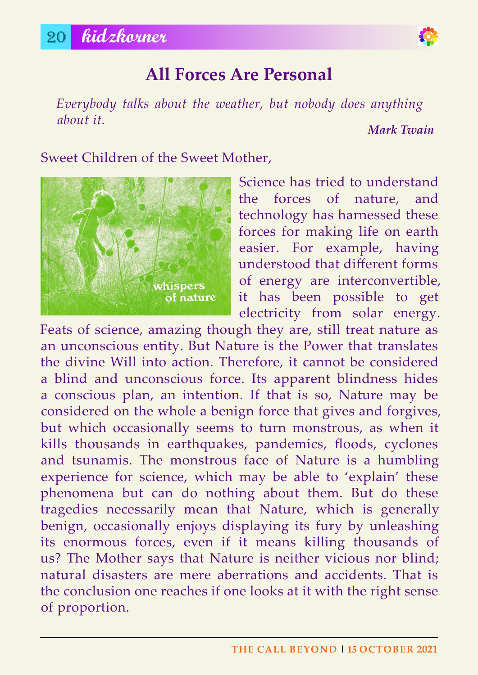# **all Forces are Personal**

*Everybody talks about the weather, but nobody does anything about it.*

*Mark Twain*

#### Sweet Children of the Sweet Mother,



Science has tried to understand the forces of nature, and technology has harnessed these forces for making life on earth easier. For example, having understood that different forms of energy are interconvertible, it has been possible to get electricity from solar energy.

Feats of science, amazing though they are, still treat nature as an unconscious entity. But Nature is the Power that translates the divine Will into action. Therefore, it cannot be considered a blind and unconscious force. Its apparent blindness hides a conscious plan, an intention. If that is so, Nature may be considered on the whole a benign force that gives and forgives, but which occasionally seems to turn monstrous, as when it kills thousands in earthquakes, pandemics, floods, cyclones and tsunamis. The monstrous face of Nature is a humbling experience for science, which may be able to 'explain' these phenomena but can do nothing about them. But do these tragedies necessarily mean that Nature, which is generally benign, occasionally enjoys displaying its fury by unleashing its enormous forces, even if it means killing thousands of us? The Mother says that Nature is neither vicious nor blind; natural disasters are mere aberrations and accidents. That is the conclusion one reaches if one looks at it with the right sense of proportion.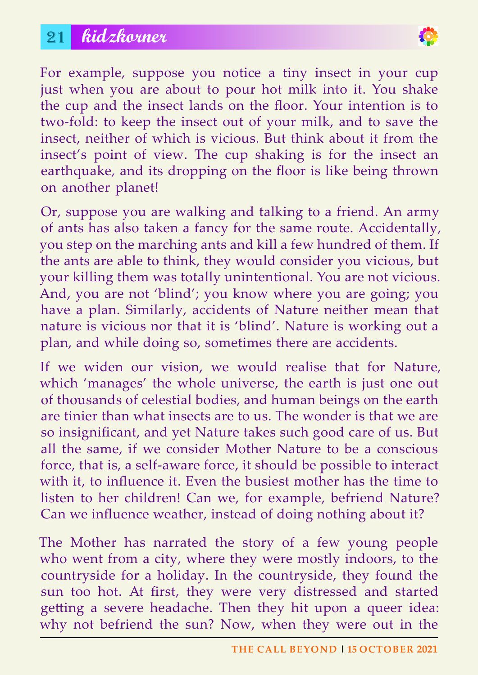# 21 **kidzkorner**



For example, suppose you notice a tiny insect in your cup just when you are about to pour hot milk into it. You shake the cup and the insect lands on the floor. Your intention is to two-fold: to keep the insect out of your milk, and to save the insect, neither of which is vicious. But think about it from the insect's point of view. The cup shaking is for the insect an earthquake, and its dropping on the floor is like being thrown on another planet!

Or, suppose you are walking and talking to a friend. An army of ants has also taken a fancy for the same route. Accidentally, you step on the marching ants and kill a few hundred of them. If the ants are able to think, they would consider you vicious, but your killing them was totally unintentional. You are not vicious. And, you are not 'blind'; you know where you are going; you have a plan. Similarly, accidents of Nature neither mean that nature is vicious nor that it is 'blind'. Nature is working out a plan, and while doing so, sometimes there are accidents.

If we widen our vision, we would realise that for Nature, which 'manages' the whole universe, the earth is just one out of thousands of celestial bodies, and human beings on the earth are tinier than what insects are to us. The wonder is that we are so insignificant, and yet Nature takes such good care of us. But all the same, if we consider Mother Nature to be a conscious force, that is, a self-aware force, it should be possible to interact with it, to influence it. Even the busiest mother has the time to listen to her children! Can we, for example, befriend Nature? Can we influence weather, instead of doing nothing about it?

The Mother has narrated the story of a few young people who went from a city, where they were mostly indoors, to the countryside for a holiday. In the countryside, they found the sun too hot. At first, they were very distressed and started getting a severe headache. Then they hit upon a queer idea: why not befriend the sun? Now, when they were out in the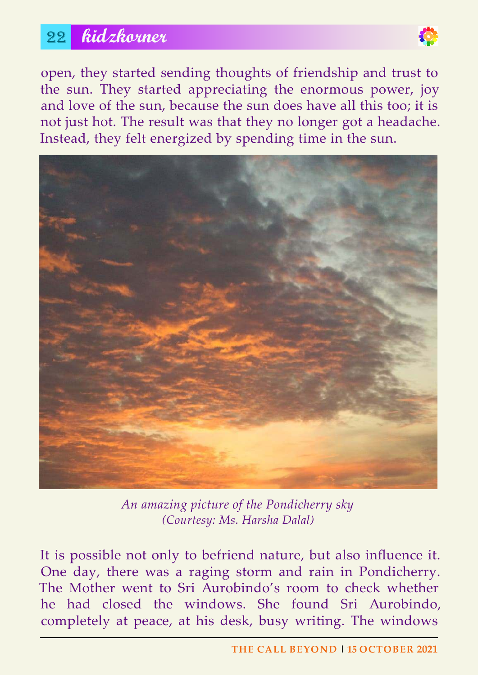# 22 **kidzkorner**



open, they started sending thoughts of friendship and trust to the sun. They started appreciating the enormous power, joy and love of the sun, because the sun does have all this too; it is not just hot. The result was that they no longer got a headache. Instead, they felt energized by spending time in the sun.



*An amazing picture of the Pondicherry sky (Courtesy: Ms. Harsha Dalal)*

It is possible not only to befriend nature, but also influence it. One day, there was a raging storm and rain in Pondicherry. The Mother went to Sri Aurobindo's room to check whether he had closed the windows. She found Sri Aurobindo, completely at peace, at his desk, busy writing. The windows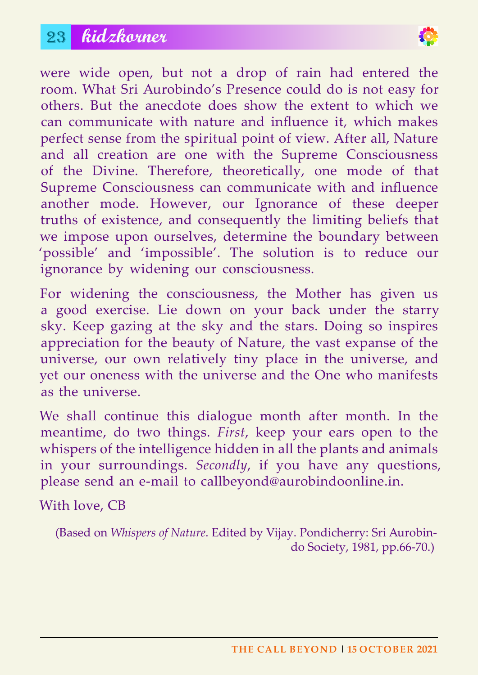# 23 **kidzkorner**



were wide open, but not a drop of rain had entered the room. What Sri Aurobindo's Presence could do is not easy for others. But the anecdote does show the extent to which we can communicate with nature and influence it, which makes perfect sense from the spiritual point of view. After all, Nature and all creation are one with the Supreme Consciousness of the Divine. Therefore, theoretically, one mode of that Supreme Consciousness can communicate with and influence another mode. However, our Ignorance of these deeper truths of existence, and consequently the limiting beliefs that we impose upon ourselves, determine the boundary between 'possible' and 'impossible'. The solution is to reduce our ignorance by widening our consciousness.

For widening the consciousness, the Mother has given us a good exercise. Lie down on your back under the starry sky. Keep gazing at the sky and the stars. Doing so inspires appreciation for the beauty of Nature, the vast expanse of the universe, our own relatively tiny place in the universe, and yet our oneness with the universe and the One who manifests as the universe.

We shall continue this dialogue month after month. In the meantime, do two things. *First*, keep your ears open to the whispers of the intelligence hidden in all the plants and animals in your surroundings. *Secondly*, if you have any questions, please send an e-mail to callbeyond@aurobindoonline.in.

With love, CB

(Based on *Whispers of Nature*. Edited by Vijay. Pondicherry: Sri Aurobindo Society, 1981, pp.66-70.)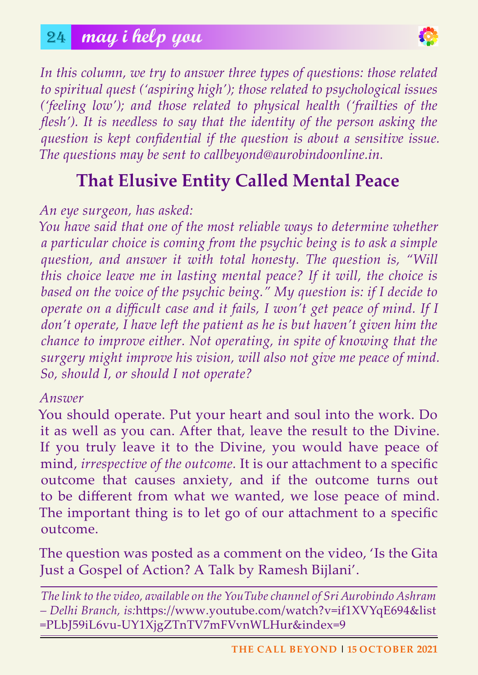

*In this column, we try to answer three types of questions: those related to spiritual quest ('aspiring high'); those related to psychological issues ('feeling low'); and those related to physical health ('frailties of the flesh'*). It is needless to say that the identity of the person asking the *question is kept confidential if the question is about a sensitive issue. The questions may be sent to callbeyond@aurobindoonline.in.*

# **That Elusive Entity Called Mental Peace**

#### *An eye surgeon, has asked:*

*You have said that one of the most reliable ways to determine whether a particular choice is coming from the psychic being is to ask a simple question, and answer it with total honesty. The question is, "Will this choice leave me in lasting mental peace? If it will, the choice is based on the voice of the psychic being." My question is: if I decide to operate on a difficult case and it fails, I won't get peace of mind. If I don't operate, I have left the patient as he is but haven't given him the chance to improve either. Not operating, in spite of knowing that the surgery might improve his vision, will also not give me peace of mind. So, should I, or should I not operate?*

#### *Answer*

You should operate. Put your heart and soul into the work. Do it as well as you can. After that, leave the result to the Divine. If you truly leave it to the Divine, you would have peace of mind, *irrespective of the outcome.* It is our attachment to a specific outcome that causes anxiety, and if the outcome turns out to be different from what we wanted, we lose peace of mind. The important thing is to let go of our attachment to a specific outcome.

The question was posted as a comment on the video, 'Is the Gita Just a Gospel of Action? A Talk by Ramesh Bijlani'.

*The link to the video, available on the YouTube channel of Sri Aurobindo Ashram – Delhi Branch, is:*https://www.youtube.com/watch?v=if1XVYqE694&list =PLbJ59iL6vu-UY1XjgZTnTV7mFVvnWLHur&index=9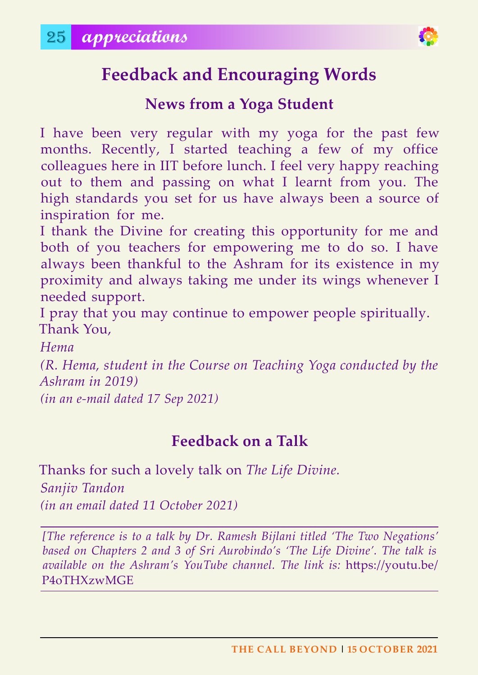

# **Feedback and Encouraging Words**

### **news from a yoga Student**

I have been very regular with my yoga for the past few months. Recently, I started teaching a few of my office colleagues here in IIT before lunch. I feel very happy reaching out to them and passing on what I learnt from you. The high standards you set for us have always been a source of inspiration for me.

I thank the Divine for creating this opportunity for me and both of you teachers for empowering me to do so. I have always been thankful to the Ashram for its existence in my proximity and always taking me under its wings whenever I needed support.

I pray that you may continue to empower people spiritually. Thank You,

*Hema*

*(R. Hema, student in the Course on Teaching Yoga conducted by the Ashram in 2019)*

*(in an e-mail dated 17 Sep 2021)*

### **Feedback on a Talk**

Thanks for such a lovely talk on *The Life Divine. Sanjiv Tandon (in an email dated 11 October 2021)*

*[The reference is to a talk by Dr. Ramesh Bijlani titled 'The Two Negations' based on Chapters 2 and 3 of Sri Aurobindo's 'The Life Divine'. The talk is available on the Ashram's YouTube channel. The link is:* https://youtu.be/ P4oTHXzwMGE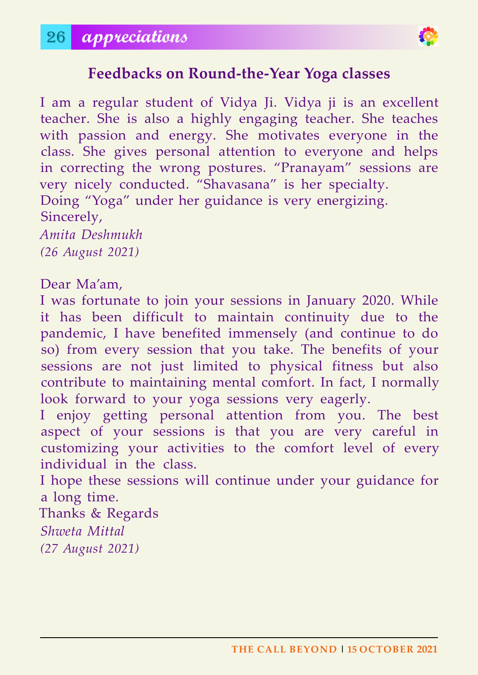

### **Feedbacks on Round-the-year yoga classes**

I am a regular student of Vidya Ji. Vidya ji is an excellent teacher. She is also a highly engaging teacher. She teaches with passion and energy. She motivates everyone in the class. She gives personal attention to everyone and helps in correcting the wrong postures. "Pranayam" sessions are very nicely conducted. "Shavasana" is her specialty. Doing "Yoga" under her guidance is very energizing. Sincerely, *Amita Deshmukh (26 August 2021)*

#### Dear Ma'am,

I was fortunate to join your sessions in January 2020. While it has been difficult to maintain continuity due to the pandemic, I have benefited immensely (and continue to do so) from every session that you take. The benefits of your sessions are not just limited to physical fitness but also contribute to maintaining mental comfort. In fact, I normally look forward to your yoga sessions very eagerly.

I enjoy getting personal attention from you. The best aspect of your sessions is that you are very careful in customizing your activities to the comfort level of every individual in the class.

I hope these sessions will continue under your guidance for a long time.

Thanks & Regards *Shweta Mittal (27 August 2021)*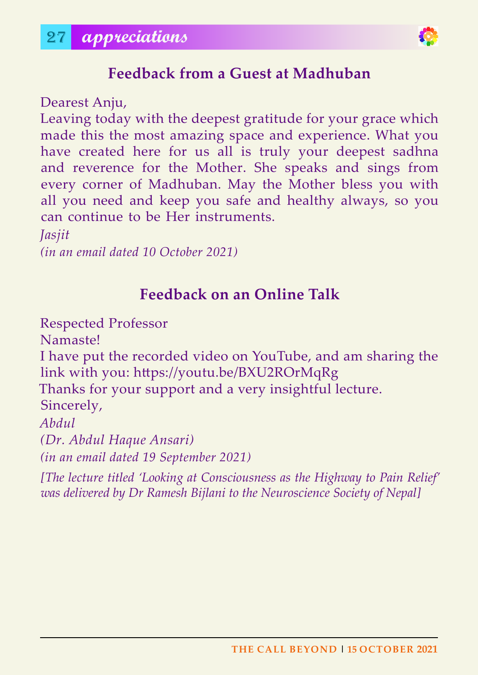

# **Feedback from a Guest at Madhuban**

Dearest Anju,

Leaving today with the deepest gratitude for your grace which made this the most amazing space and experience. What you have created here for us all is truly your deepest sadhna and reverence for the Mother. She speaks and sings from every corner of Madhuban. May the Mother bless you with all you need and keep you safe and healthy always, so you can continue to be Her instruments.

*Jasjit*

*(in an email dated 10 October 2021)*

# **Feedback on an online Talk**

Respected Professor Namaste! I have put the recorded video on YouTube, and am sharing the link with you: https://youtu.be/BXU2ROrMqRg Thanks for your support and a very insightful lecture. Sincerely, *Abdul (Dr. Abdul Haque Ansari) (in an email dated 19 September 2021)*

*[The lecture titled 'Looking at Consciousness as the Highway to Pain Relief' was delivered by Dr Ramesh Bijlani to the Neuroscience Society of Nepal]*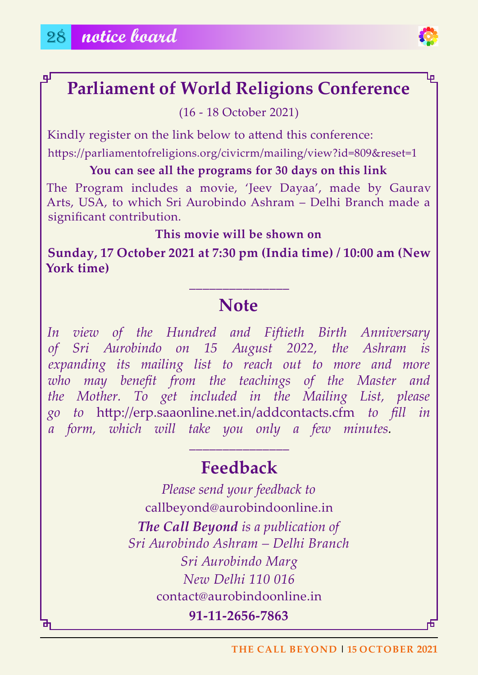ᆗ



# **Parliament of World Religions Conference**

(16 - 18 October 2021)

Kindly register on the link below to attend this conference:

https://parliamentofreligions.org/civicrm/mailing/view?id=809&reset=1

**you can see all the programs for 30 days on this link**

The Program includes a movie, 'Jeev Dayaa', made by Gaurav Arts, USA, to which Sri Aurobindo Ashram – Delhi Branch made a significant contribution.

**This movie will be shown on**

**Sunday, 17 october 2021 at 7:30 pm (India time) / 10:00 am (new york time)**

# **Note**

**\_\_\_\_\_\_\_\_\_\_\_\_\_\_\_**

*In view of the Hundred and Fiftieth Birth Anniversary of Sri Aurobindo on 15 August 2022, the Ashram is expanding its mailing list to reach out to more and more who may benefit from the teachings of the Master and the Mother. To get included in the Mailing List, please go to* http://erp.saaonline.net.in/addcontacts.cfm *to fill in a form, which will take you only a few minutes.*

# **Feedback**

**\_\_\_\_\_\_\_\_\_\_\_\_\_\_\_**

*Please send your feedback to* callbeyond@aurobindoonline.in *The Call Beyond is a publication of Sri Aurobindo Ashram – Delhi Branch Sri Aurobindo Marg New Delhi 110 016* contact@aurobindoonline.in

**91-11-2656-7863**